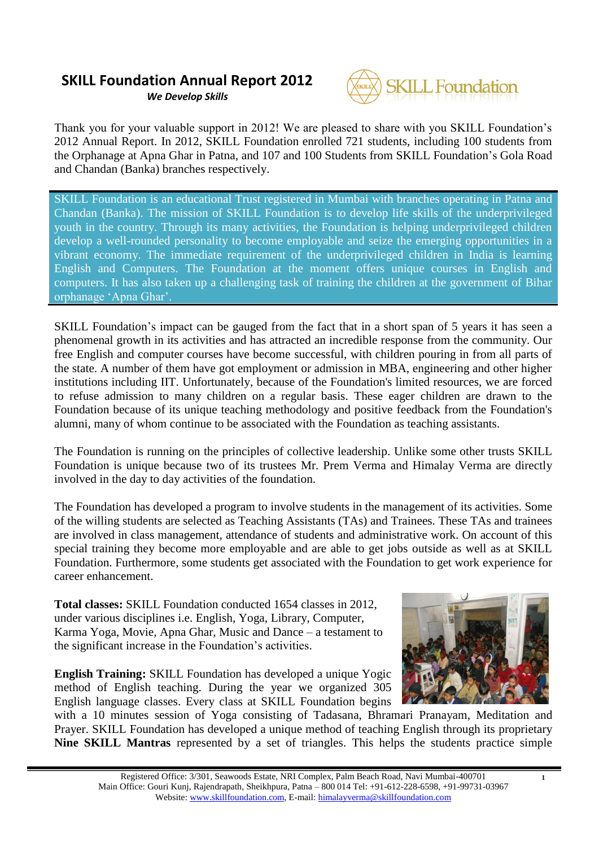*We Develop Skills*



Thank you for your valuable support in 2012! We are pleased to share with you SKILL Foundation"s 2012 Annual Report. In 2012, SKILL Foundation enrolled 721 students, including 100 students from the Orphanage at Apna Ghar in Patna, and 107 and 100 Students from SKILL Foundation"s Gola Road and Chandan (Banka) branches respectively.

SKILL Foundation is an educational Trust registered in Mumbai with branches operating in Patna and Chandan (Banka). The mission of SKILL Foundation is to develop life skills of the underprivileged youth in the country. Through its many activities, the Foundation is helping underprivileged children develop a well-rounded personality to become employable and seize the emerging opportunities in a vibrant economy. The immediate requirement of the underprivileged children in India is learning English and Computers. The Foundation at the moment offers unique courses in English and computers. It has also taken up a challenging task of training the children at the government of Bihar orphanage "Apna Ghar".

SKILL Foundation"s impact can be gauged from the fact that in a short span of 5 years it has seen a phenomenal growth in its activities and has attracted an incredible response from the community. Our free English and computer courses have become successful, with children pouring in from all parts of the state. A number of them have got employment or admission in MBA, engineering and other higher institutions including IIT. Unfortunately, because of the Foundation's limited resources, we are forced to refuse admission to many children on a regular basis. These eager children are drawn to the Foundation because of its unique teaching methodology and positive feedback from the Foundation's alumni, many of whom continue to be associated with the Foundation as teaching assistants.

The Foundation is running on the principles of collective leadership. Unlike some other trusts SKILL Foundation is unique because two of its trustees Mr. Prem Verma and Himalay Verma are directly involved in the day to day activities of the foundation.

The Foundation has developed a program to involve students in the management of its activities. Some of the willing students are selected as Teaching Assistants (TAs) and Trainees. These TAs and trainees are involved in class management, attendance of students and administrative work. On account of this special training they become more employable and are able to get jobs outside as well as at SKILL Foundation. Furthermore, some students get associated with the Foundation to get work experience for career enhancement.

**Total classes:** SKILL Foundation conducted 1654 classes in 2012, under various disciplines i.e. English, Yoga, Library, Computer, Karma Yoga, Movie, Apna Ghar, Music and Dance – a testament to the significant increase in the Foundation"s activities.

**English Training:** SKILL Foundation has developed a unique Yogic method of English teaching. During the year we organized 305 English language classes. Every class at SKILL Foundation begins



**1**

with a 10 minutes session of Yoga consisting of Tadasana, Bhramari Pranayam, Meditation and Prayer. SKILL Foundation has developed a unique method of teaching English through its proprietary **Nine SKILL Mantras** represented by a set of triangles. This helps the students practice simple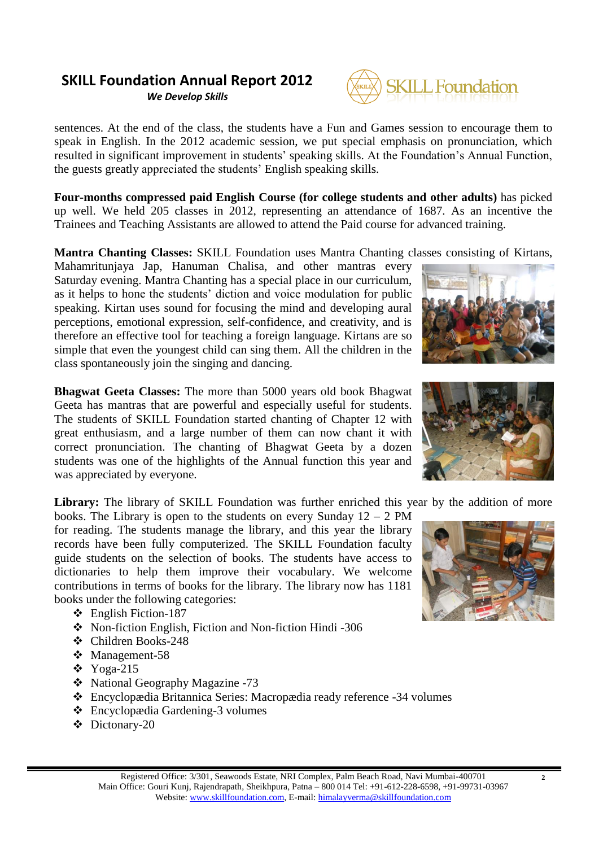*We Develop Skills*



sentences. At the end of the class, the students have a Fun and Games session to encourage them to speak in English. In the 2012 academic session, we put special emphasis on pronunciation, which resulted in significant improvement in students' speaking skills. At the Foundation's Annual Function, the guests greatly appreciated the students" English speaking skills.

**Four-months compressed paid English Course (for college students and other adults)** has picked up well. We held 205 classes in 2012, representing an attendance of 1687. As an incentive the Trainees and Teaching Assistants are allowed to attend the Paid course for advanced training.

**Mantra Chanting Classes:** SKILL Foundation uses Mantra Chanting classes consisting of Kirtans,

Mahamritunjaya Jap, Hanuman Chalisa, and other mantras every Saturday evening. Mantra Chanting has a special place in our curriculum, as it helps to hone the students" diction and voice modulation for public speaking. Kirtan uses sound for focusing the mind and developing aural perceptions, emotional expression, self-confidence, and creativity, and is therefore an effective tool for teaching a foreign language. Kirtans are so simple that even the youngest child can sing them. All the children in the class spontaneously join the singing and dancing.

**Bhagwat Geeta Classes:** The more than 5000 years old book Bhagwat Geeta has mantras that are powerful and especially useful for students. The students of SKILL Foundation started chanting of Chapter 12 with great enthusiasm, and a large number of them can now chant it with correct pronunciation. The chanting of Bhagwat Geeta by a dozen students was one of the highlights of the Annual function this year and was appreciated by everyone.

Library: The library of SKILL Foundation was further enriched this year by the addition of more

books. The Library is open to the students on every Sunday  $12 - 2$  PM for reading. The students manage the library, and this year the library records have been fully computerized. The SKILL Foundation faculty guide students on the selection of books. The students have access to dictionaries to help them improve their vocabulary. We welcome contributions in terms of books for the library. The library now has 1181 books under the following categories:

- English Fiction-187
- Non-fiction English, Fiction and Non-fiction Hindi -306
- Children Books-248
- Management-58
- Yoga-215
- National Geography Magazine -73
- Encyclopædia Britannica Series: Macropædia ready reference -34 volumes
- Encyclopædia Gardening-3 volumes
- Dictonary-20







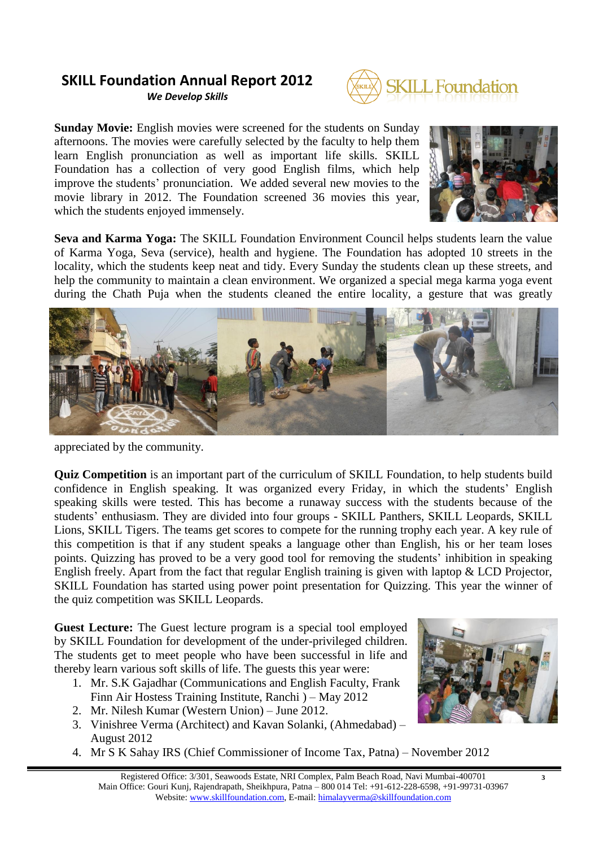*We Develop Skills*



**Sunday Movie:** English movies were screened for the students on Sunday afternoons. The movies were carefully selected by the faculty to help them learn English pronunciation as well as important life skills. SKILL Foundation has a collection of very good English films, which help improve the students" pronunciation. We added several new movies to the movie library in 2012. The Foundation screened 36 movies this year, which the students enjoyed immensely.



**Seva and Karma Yoga:** The SKILL Foundation Environment Council helps students learn the value of Karma Yoga, Seva (service), health and hygiene. The Foundation has adopted 10 streets in the locality, which the students keep neat and tidy. Every Sunday the students clean up these streets, and help the community to maintain a clean environment. We organized a special mega karma yoga event during the Chath Puja when the students cleaned the entire locality, a gesture that was greatly



appreciated by the community.

**Quiz Competition** is an important part of the curriculum of SKILL Foundation, to help students build confidence in English speaking. It was organized every Friday, in which the students" English speaking skills were tested. This has become a runaway success with the students because of the students' enthusiasm. They are divided into four groups - SKILL Panthers, SKILL Leopards, SKILL Lions, SKILL Tigers. The teams get scores to compete for the running trophy each year. A key rule of this competition is that if any student speaks a language other than English, his or her team loses points. Quizzing has proved to be a very good tool for removing the students" inhibition in speaking English freely. Apart from the fact that regular English training is given with laptop & LCD Projector, SKILL Foundation has started using power point presentation for Quizzing. This year the winner of the quiz competition was SKILL Leopards.

**Guest Lecture:** The Guest lecture program is a special tool employed by SKILL Foundation for development of the under-privileged children. The students get to meet people who have been successful in life and thereby learn various soft skills of life. The guests this year were:

- 1. Mr. S.K Gajadhar (Communications and English Faculty, Frank Finn Air Hostess Training Institute, Ranchi ) – May 2012
- 2. Mr. Nilesh Kumar (Western Union) June 2012.
- 3. Vinishree Verma (Architect) and Kavan Solanki, (Ahmedabad) August 2012
- 4. Mr S K Sahay IRS (Chief Commissioner of Income Tax, Patna) November 2012



**3**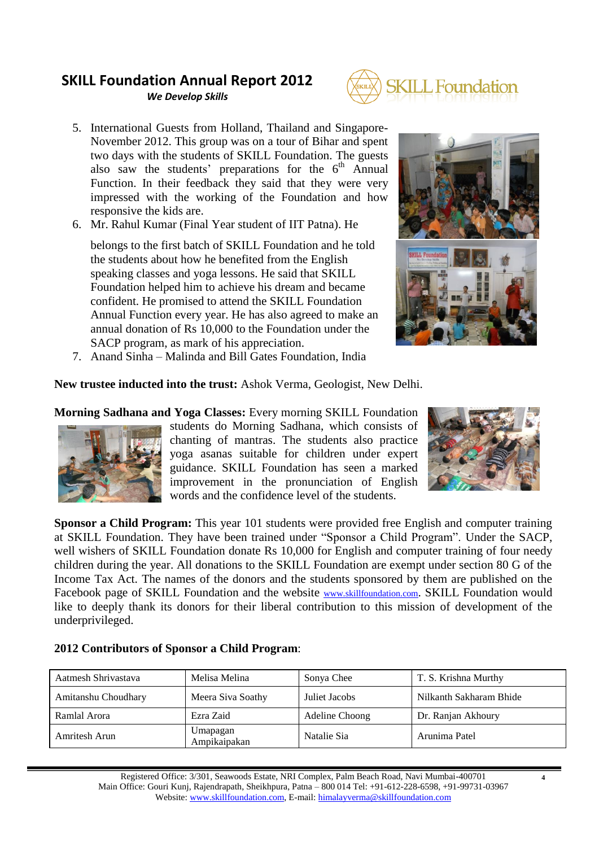*We Develop Skills*



- 5. International Guests from Holland, Thailand and Singapore-November 2012. This group was on a tour of Bihar and spent two days with the students of SKILL Foundation. The guests also saw the students' preparations for the  $6<sup>th</sup>$  Annual Function. In their feedback they said that they were very impressed with the working of the Foundation and how responsive the kids are.
- 6. Mr. Rahul Kumar (Final Year student of IIT Patna). He

belongs to the first batch of SKILL Foundation and he told the students about how he benefited from the English speaking classes and yoga lessons. He said that SKILL Foundation helped him to achieve his dream and became confident. He promised to attend the SKILL Foundation Annual Function every year. He has also agreed to make an annual donation of Rs 10,000 to the Foundation under the SACP program, as mark of his appreciation.



7. Anand Sinha – Malinda and Bill Gates Foundation, India

**New trustee inducted into the trust:** Ashok Verma, Geologist, New Delhi.

**Morning Sadhana and Yoga Classes:** Every morning SKILL Foundation



students do Morning Sadhana, which consists of chanting of mantras. The students also practice yoga asanas suitable for children under expert guidance. SKILL Foundation has seen a marked improvement in the pronunciation of English words and the confidence level of the students.



**Sponsor a Child Program:** This year 101 students were provided free English and computer training at SKILL Foundation. They have been trained under "Sponsor a Child Program". Under the SACP, well wishers of SKILL Foundation donate Rs 10,000 for English and computer training of four needy children during the year. All donations to the SKILL Foundation are exempt under section 80 G of the Income Tax Act. The names of the donors and the students sponsored by them are published on the Facebook page of SKILL Foundation and the website [www.skillfoundation.com](http://www.skillfoundation.com/). SKILL Foundation would like to deeply thank its donors for their liberal contribution to this mission of development of the underprivileged.

### **2012 Contributors of Sponsor a Child Program**:

| Aatmesh Shrivastava | Melisa Melina            | Sonya Chee     | T. S. Krishna Murthy    |  |
|---------------------|--------------------------|----------------|-------------------------|--|
| Amitanshu Choudhary | Meera Siva Soathy        | Juliet Jacobs  | Nilkanth Sakharam Bhide |  |
| Ramlal Arora        | Ezra Zaid                | Adeline Choong | Dr. Ranjan Akhoury      |  |
| Amritesh Arun       | Umapagan<br>Ampikaipakan | Natalie Sia    | Arunima Patel           |  |

**4**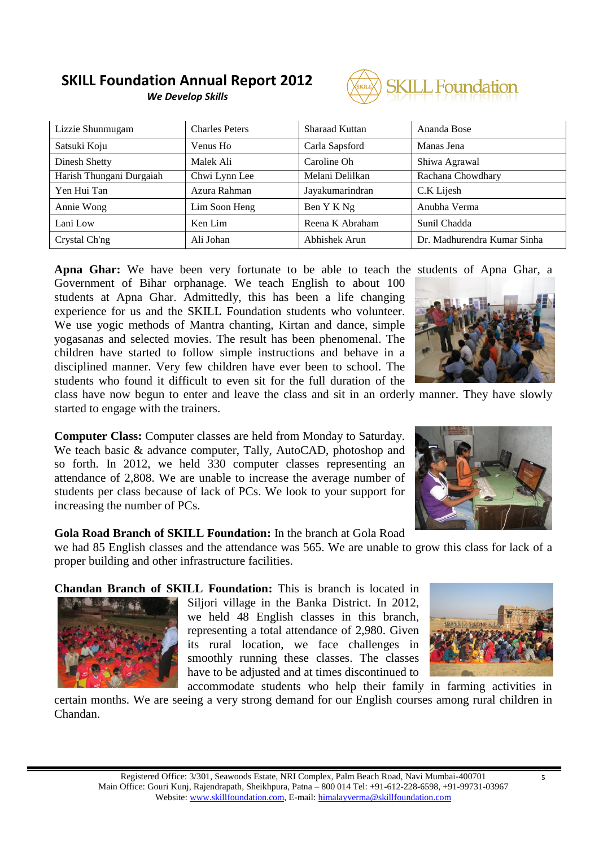#### **SKILL Foundation Annual Report 2012** *We Develop Skills*

**J. Foundation** 

| Lizzie Shunmugam         | <b>Charles Peters</b> | Sharaad Kuttan  | Ananda Bose                 |  |
|--------------------------|-----------------------|-----------------|-----------------------------|--|
| Satsuki Koju             | Venus Ho              | Carla Sapsford  | Manas Jena                  |  |
| Dinesh Shetty            | Malek Ali             | Caroline Oh     | Shiwa Agrawal               |  |
| Harish Thungani Durgaiah | Chwi Lynn Lee         | Melani Delilkan | Rachana Chowdhary           |  |
| Yen Hui Tan              | Azura Rahman          | Jayakumarindran | C.K Lijesh                  |  |
| Annie Wong               | Lim Soon Heng         | Ben Y K Ng      | Anubha Verma                |  |
| Lani Low                 | Ken Lim               | Reena K Abraham | Sunil Chadda                |  |
| Crystal Ch'ng            | Ali Johan             | Abhishek Arun   | Dr. Madhurendra Kumar Sinha |  |

**Apna Ghar:** We have been very fortunate to be able to teach the students of Apna Ghar, a Government of Bihar orphanage. We teach English to about 100 students at Apna Ghar. Admittedly, this has been a life changing experience for us and the SKILL Foundation students who volunteer. We use yogic methods of Mantra chanting, Kirtan and dance, simple yogasanas and selected movies. The result has been phenomenal. The children have started to follow simple instructions and behave in a disciplined manner. Very few children have ever been to school. The students who found it difficult to even sit for the full duration of the



class have now begun to enter and leave the class and sit in an orderly manner. They have slowly started to engage with the trainers.

**Computer Class:** Computer classes are held from Monday to Saturday. We teach basic & advance computer, Tally, AutoCAD, photoshop and so forth. In 2012, we held 330 computer classes representing an attendance of 2,808. We are unable to increase the average number of students per class because of lack of PCs. We look to your support for increasing the number of PCs.

#### **Gola Road Branch of SKILL Foundation:** In the branch at Gola Road

we had 85 English classes and the attendance was 565. We are unable to grow this class for lack of a proper building and other infrastructure facilities.

**Chandan Branch of SKILL Foundation:** This is branch is located in



Siljori village in the Banka District. In 2012, we held 48 English classes in this branch, representing a total attendance of 2,980. Given its rural location, we face challenges in smoothly running these classes. The classes have to be adjusted and at times discontinued to



accommodate students who help their family in farming activities in certain months. We are seeing a very strong demand for our English courses among rural children in Chandan.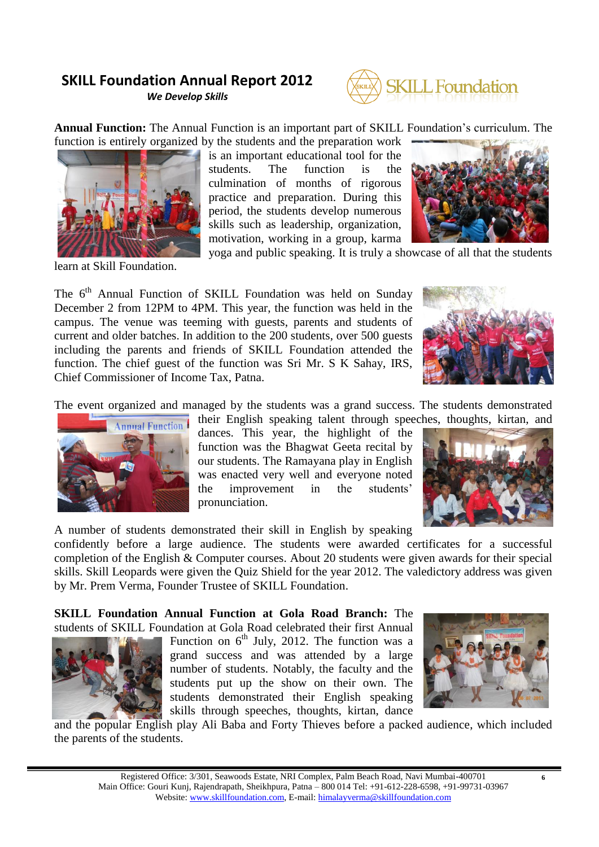*We Develop Skills*



**Annual Function:** The Annual Function is an important part of SKILL Foundation"s curriculum. The function is entirely organized by the students and the preparation work



learn at Skill Foundation.

is an important educational tool for the students. The function is the culmination of months of rigorous practice and preparation. During this period, the students develop numerous skills such as leadership, organization, motivation, working in a group, karma



yoga and public speaking. It is truly a showcase of all that the students

The 6<sup>th</sup> Annual Function of SKILL Foundation was held on Sunday December 2 from 12PM to 4PM. This year, the function was held in the campus. The venue was teeming with guests, parents and students of current and older batches. In addition to the 200 students, over 500 guests including the parents and friends of SKILL Foundation attended the function. The chief guest of the function was Sri Mr. S K Sahay, IRS, Chief Commissioner of Income Tax, Patna.



The event organized and managed by the students was a grand success. The students demonstrated



their English speaking talent through speeches, thoughts, kirtan, and dances. This year, the highlight of the function was the Bhagwat Geeta recital by our students. The Ramayana play in English was enacted very well and everyone noted the improvement in the students" pronunciation.

A number of students demonstrated their skill in English by speaking

confidently before a large audience. The students were awarded certificates for a successful completion of the English & Computer courses. About 20 students were given awards for their special skills. Skill Leopards were given the Quiz Shield for the year 2012. The valedictory address was given by Mr. Prem Verma, Founder Trustee of SKILL Foundation.

**SKILL Foundation Annual Function at Gola Road Branch:** The students of SKILL Foundation at Gola Road celebrated their first Annual



Function on  $6<sup>th</sup>$  July, 2012. The function was a grand success and was attended by a large number of students. Notably, the faculty and the students put up the show on their own. The students demonstrated their English speaking skills through speeches, thoughts, kirtan, dance



and the popular English play Ali Baba and Forty Thieves before a packed audience, which included the parents of the students.

**6**